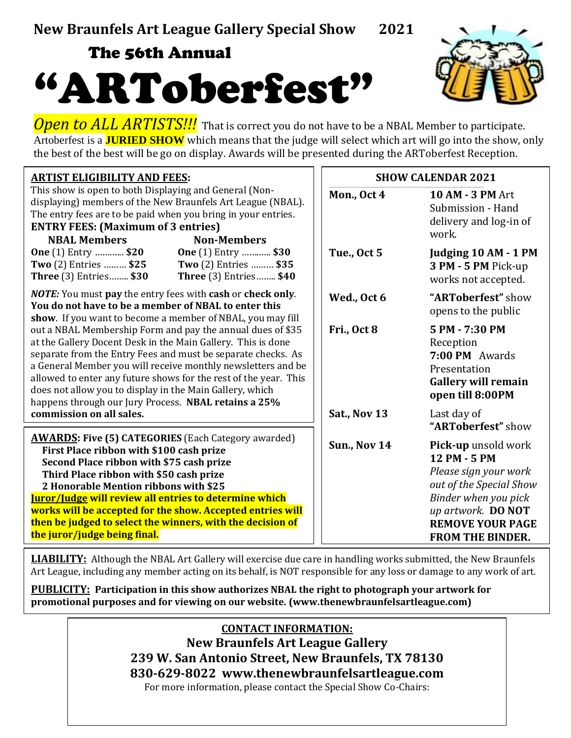## The 56th Annual





**Open to ALL ARTISTS!!!** That is correct you do not have to be a NBAL Member to participate. Artoberfest is a **JURIED SHOW** which means that the judge will select which art will go into the show, only the best of the best will be go on display. Awards will be presented during the ARToberfest Reception.

| <b>ARTIST ELIGIBILITY AND FEES:</b>                                                                                                                                                                                                                                                                                                                                                                                                                                 | <b>SHOW CALENDAR 2021</b> |                                                                                                                                                                                             |  |
|---------------------------------------------------------------------------------------------------------------------------------------------------------------------------------------------------------------------------------------------------------------------------------------------------------------------------------------------------------------------------------------------------------------------------------------------------------------------|---------------------------|---------------------------------------------------------------------------------------------------------------------------------------------------------------------------------------------|--|
| This show is open to both Displaying and General (Non-<br>displaying) members of the New Braunfels Art League (NBAL).<br>The entry fees are to be paid when you bring in your entries.<br><b>ENTRY FEES:</b> (Maximum of 3 entries)<br><b>NBAL Members</b><br><b>Non-Members</b>                                                                                                                                                                                    | Mon., Oct 4               | <b>10 AM - 3 PM Art</b><br>Submission - Hand<br>delivery and log-in of<br>work.                                                                                                             |  |
| <b>One</b> (1) Entry  \$20<br><b>One</b> (1) Entry  \$30<br>Two (2) Entries  \$25<br>Two (2) Entries  \$35<br><b>Three</b> (3) Entries \$30<br><b>Three</b> (3) Entries \$40                                                                                                                                                                                                                                                                                        | Tue., Oct 5               | Judging 10 AM - 1 PM<br>3 PM - 5 PM Pick-up<br>works not accepted.                                                                                                                          |  |
| <b>NOTE:</b> You must pay the entry fees with cash or check only.<br>You do not have to be a member of NBAL to enter this<br>show. If you want to become a member of NBAL, you may fill                                                                                                                                                                                                                                                                             | Wed., Oct 6               | "ARToberfest" show<br>opens to the public                                                                                                                                                   |  |
| out a NBAL Membership Form and pay the annual dues of \$35<br>at the Gallery Docent Desk in the Main Gallery. This is done<br>separate from the Entry Fees and must be separate checks. As<br>a General Member you will receive monthly newsletters and be<br>allowed to enter any future shows for the rest of the year. This<br>does not allow you to display in the Main Gallery, which<br>happens through our Jury Process. NBAL retains a 25%                  | Fri., Oct 8               | 5 PM - 7:30 PM<br>Reception<br>7:00 PM Awards<br>Presentation<br><b>Gallery will remain</b><br>open till 8:00PM                                                                             |  |
| commission on all sales.                                                                                                                                                                                                                                                                                                                                                                                                                                            | Sat., Nov 13              | Last day of<br>"ARToberfest" show                                                                                                                                                           |  |
| <b>AWARDS: Five (5) CATEGORIES</b> (Each Category awarded)<br>First Place ribbon with \$100 cash prize<br>Second Place ribbon with \$75 cash prize<br>Third Place ribbon with \$50 cash prize<br>2 Honorable Mention ribbons with \$25<br><b>Iuror/Judge will review all entries to determine which</b><br>works will be accepted for the show. Accepted entries will<br>then be judged to select the winners, with the decision of<br>the juror/judge being final. | <b>Sun., Nov 14</b>       | Pick-up unsold work<br>12 PM - 5 PM<br>Please sign your work<br>out of the Special Show<br>Binder when you pick<br>up artwork. DO NOT<br><b>REMOVE YOUR PAGE</b><br><b>FROM THE BINDER.</b> |  |

**LIABILITY:** Although the NBAL Art Gallery will exercise due care in handling works submitted, the New Braunfels Art League, including any member acting on its behalf, is NOT responsible for any loss or damage to any work of art.

**PUBLICITY: Participation in this show authorizes NBAL the right to photograph your artwork for promotional purposes and for viewing on our website. (www.thenewbraunfelsartleague.com)**

> **CONTACT INFORMATION: New Braunfels Art League Gallery 239 W. San Antonio Street, New Braunfels, TX 78130 830-629-8022 [www.thenewbraunfelsartleague.com](http://www.newbraunfelsartleague.com/)** For more information, please contact the Special Show Co-Chairs: